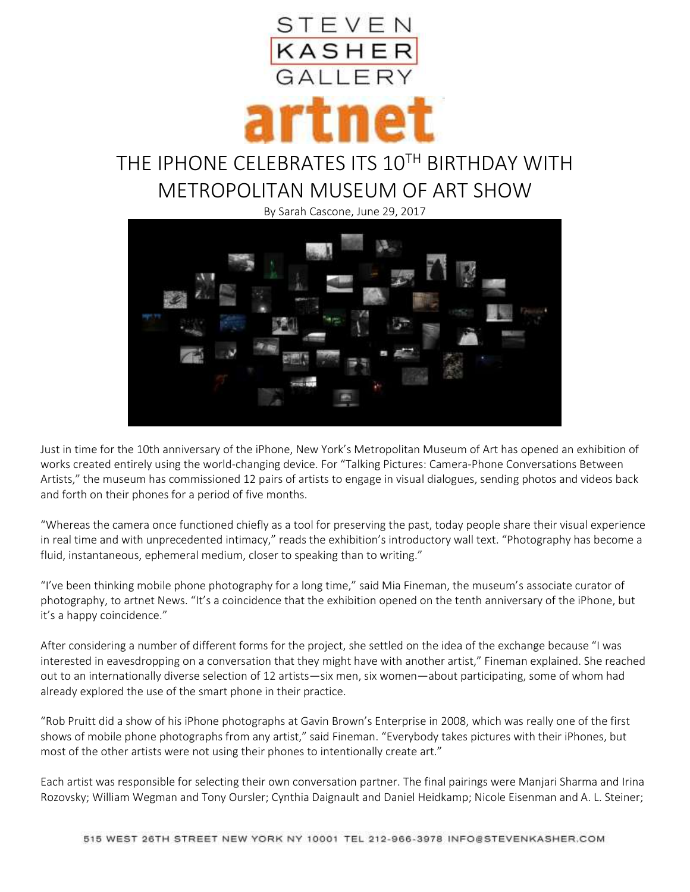

## THE IPHONE CELEBRATES ITS 10TH BIRTHDAY WITH METROPOLITAN MUSEUM OF ART SHOW

rtne

By Sarah Cascone, June 29, 2017



Just in time for the 10th anniversary of the iPhone, New York's Metropolitan Museum of Art has opened an exhibition of works created entirely using the world-changing device. For "Talking Pictures: Camera-Phone Conversations Between Artists," the museum has commissioned 12 pairs of artists to engage in visual dialogues, sending photos and videos back and forth on their phones for a period of five months.

"Whereas the camera once functioned chiefly as a tool for preserving the past, today people share their visual experience in real time and with unprecedented intimacy," reads the exhibition's introductory wall text. "Photography has become a fluid, instantaneous, ephemeral medium, closer to speaking than to writing."

"I've been thinking mobile phone photography for a long time," said Mia Fineman, the museum's associate curator of photography, to artnet News. "It's a coincidence that the exhibition opened on the tenth anniversary of the iPhone, but it's a happy coincidence."

After considering a number of different forms for the project, she settled on the idea of the exchange because "I was interested in eavesdropping on a conversation that they might have with another artist," Fineman explained. She reached out to an internationally diverse selection of 12 artists—six men, six women—about participating, some of whom had already explored the use of the smart phone in their practice.

"Rob Pruitt did a show of his iPhone photographs at Gavin Brown's Enterprise in 2008, which was really one of the first shows of mobile phone photographs from any artist," said Fineman. "Everybody takes pictures with their iPhones, but most of the other artists were not using their phones to intentionally create art."

Each artist was responsible for selecting their own conversation partner. The final pairings were Manjari Sharma and Irina Rozovsky; William Wegman and Tony Oursler; Cynthia Daignault and Daniel Heidkamp; Nicole Eisenman and A. L. Steiner;